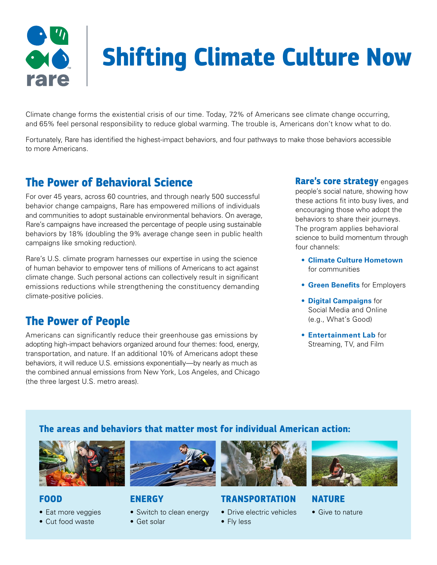

# **Shifting Climate Culture Now**

Climate change forms the existential crisis of our time. Today, 72% of Americans see climate change occurring, and 65% feel personal responsibility to reduce global warming. The trouble is, Americans don't know what to do.

Fortunately, Rare has identified the highest-impact behaviors, and four pathways to make those behaviors accessible to more Americans.

## **The Power of Behavioral Science**

For over 45 years, across 60 countries, and through nearly 500 successful behavior change campaigns, Rare has empowered millions of individuals and communities to adopt sustainable environmental behaviors. On average, Rare's campaigns have increased the percentage of people using sustainable behaviors by 18% (doubling the 9% average change seen in public health campaigns like smoking reduction).

Rare's U.S. climate program harnesses our expertise in using the science of human behavior to empower tens of millions of Americans to act against climate change. Such personal actions can collectively result in significant emissions reductions while strengthening the constituency demanding climate-positive policies.

## **The Power of People**

Americans can significantly reduce their greenhouse gas emissions by adopting high-impact behaviors organized around four themes: food, energy, transportation, and nature. If an additional 10% of Americans adopt these behaviors, it will reduce U.S. emissions exponentially—by nearly as much as the combined annual emissions from New York, Los Angeles, and Chicago (the three largest U.S. metro areas).

**Rare's core strategy** engages people's social nature, showing how these actions fit into busy lives, and encouraging those who adopt the behaviors to share their journeys. The program applies behavioral science to build momentum through four channels:

- **• Climate Culture Hometown** for communities
- **• Green Benefits** for Employers
- **• Digital Campaigns** for Social Media and Online (e.g., What's Good)
- **• Entertainment Lab** for Streaming, TV, and Film

#### **The areas and behaviors that matter most for individual American action:**



#### **FOOD**

- Eat more veggies
- Cut food waste



#### **ENERGY**

- Switch to clean energy
- Get solar



#### **TRANSPORTATION**

- Drive electric vehicles
- Fly less



#### **NATURE**

• Give to nature